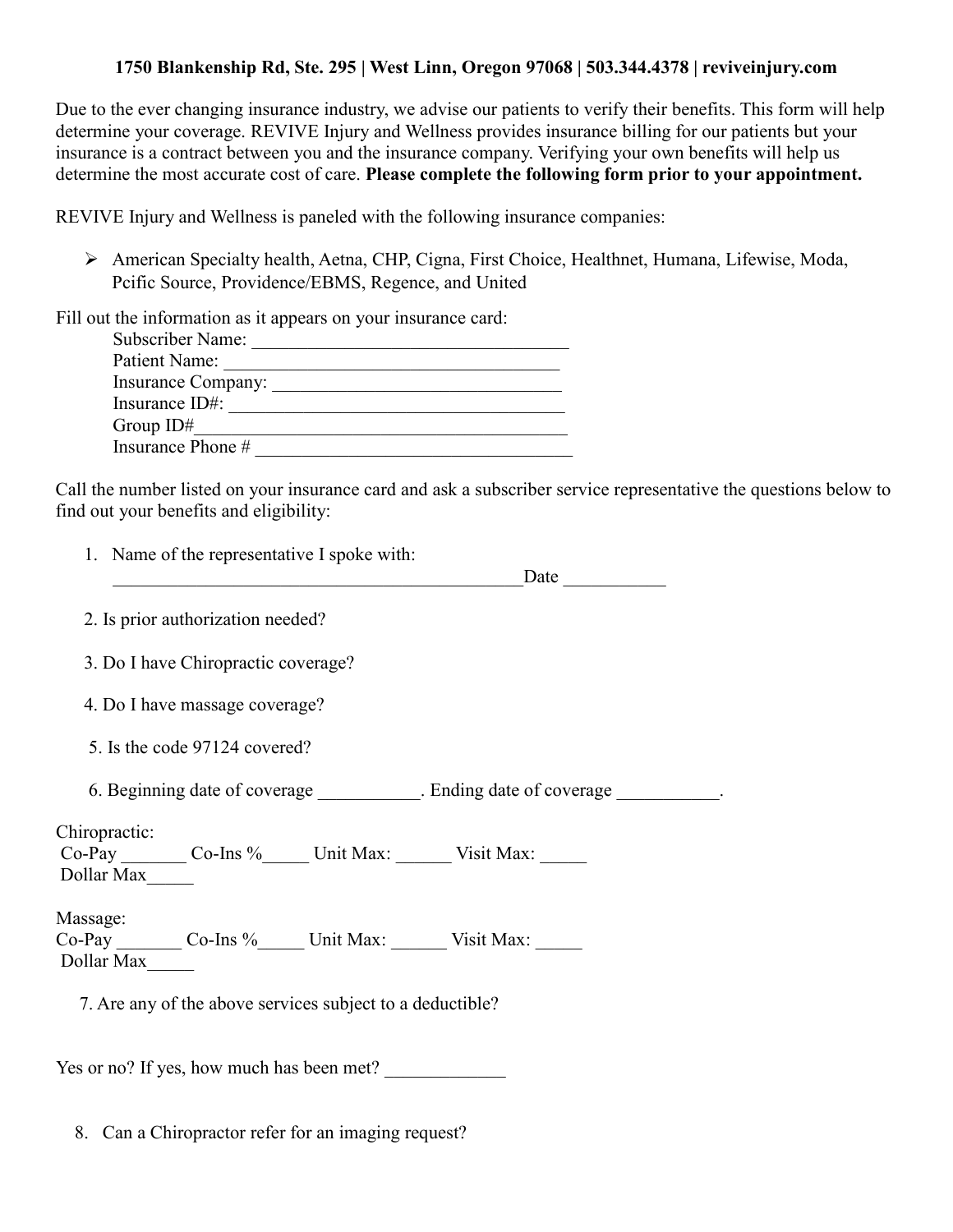## **1750 Blankenship Rd, Ste. 295 | West Linn, Oregon 97068 | 503.344.4378 | reviveinjury.com**

Due to the ever changing insurance industry, we advise our patients to verify their benefits. This form will help determine your coverage. REVIVE Injury and Wellness provides insurance billing for our patients but your insurance is a contract between you and the insurance company. Verifying your own benefits will help us determine the most accurate cost of care. **Please complete the following form prior to your appointment.**

REVIVE Injury and Wellness is paneled with the following insurance companies:

 American Specialty health, Aetna, CHP, Cigna, First Choice, Healthnet, Humana, Lifewise, Moda, Pcific Source, Providence/EBMS, Regence, and United

Fill out the information as it appears on your insurance card:

| Subscriber Name:   |
|--------------------|
| Patient Name:      |
| Insurance Company: |
| Insurance ID#:     |
| Group $ID#$        |
| Insurance Phone #  |

Call the number listed on your insurance card and ask a subscriber service representative the questions below to find out your benefits and eligibility:

| 1. Name of the representative I spoke with:                                                             |  | Date |  |
|---------------------------------------------------------------------------------------------------------|--|------|--|
| 2. Is prior authorization needed?                                                                       |  |      |  |
| 3. Do I have Chiropractic coverage?                                                                     |  |      |  |
| 4. Do I have massage coverage?                                                                          |  |      |  |
| 5. Is the code 97124 covered?                                                                           |  |      |  |
| 6. Beginning date of coverage ____________. Ending date of coverage __________.                         |  |      |  |
| Chiropractic:<br>Co-Pay ________ Co-Ins %_______ Unit Max: _______ Visit Max: ______<br>Dollar Max_____ |  |      |  |
| Massage:<br>Co-Pay ________ Co-Ins %_______ Unit Max: _______ Visit Max: ______<br>Dollar Max_____      |  |      |  |
| 7. Are any of the above services subject to a deductible?                                               |  |      |  |
| Yes or no? If yes, how much has been met?                                                               |  |      |  |

8. Can a Chiropractor refer for an imaging request?